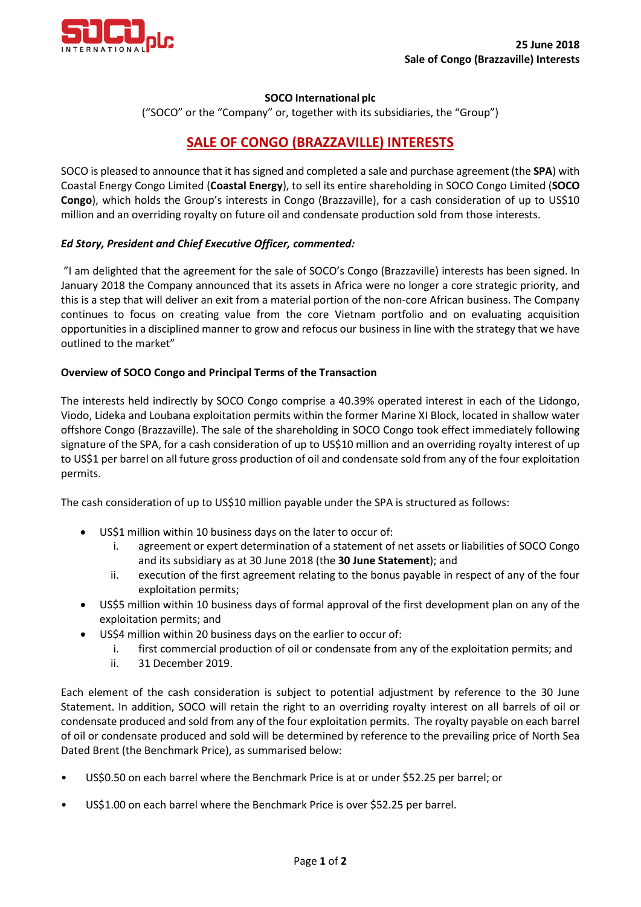

### **SOCO International plc**

("SOCO" or the "Company" or, together with its subsidiaries, the "Group")

# **SALE OF CONGO (BRAZZAVILLE) INTERESTS**

SOCO is pleased to announce that it has signed and completed a sale and purchase agreement (the **SPA**) with Coastal Energy Congo Limited (**Coastal Energy**), to sell its entire shareholding in SOCO Congo Limited (**SOCO Congo**), which holds the Group's interests in Congo (Brazzaville), for a cash consideration of up to US\$10 million and an overriding royalty on future oil and condensate production sold from those interests.

## *Ed Story, President and Chief Executive Officer, commented:*

"I am delighted that the agreement for the sale of SOCO's Congo (Brazzaville) interests has been signed. In January 2018 the Company announced that its assets in Africa were no longer a core strategic priority, and this is a step that will deliver an exit from a material portion of the non-core African business. The Company continues to focus on creating value from the core Vietnam portfolio and on evaluating acquisition opportunities in a disciplined manner to grow and refocus our business in line with the strategy that we have outlined to the market"

## **Overview of SOCO Congo and Principal Terms of the Transaction**

The interests held indirectly by SOCO Congo comprise a 40.39% operated interest in each of the Lidongo, Viodo, Lideka and Loubana exploitation permits within the former Marine XI Block, located in shallow water offshore Congo (Brazzaville). The sale of the shareholding in SOCO Congo took effect immediately following signature of the SPA, for a cash consideration of up to US\$10 million and an overriding royalty interest of up to US\$1 per barrel on all future gross production of oil and condensate sold from any of the four exploitation permits.

The cash consideration of up to US\$10 million payable under the SPA is structured as follows:

- US\$1 million within 10 business days on the later to occur of:
	- i. agreement or expert determination of a statement of net assets or liabilities of SOCO Congo and its subsidiary as at 30 June 2018 (the **30 June Statement**); and
	- ii. execution of the first agreement relating to the bonus payable in respect of any of the four exploitation permits;
- US\$5 million within 10 business days of formal approval of the first development plan on any of the exploitation permits; and
- US\$4 million within 20 business days on the earlier to occur of:
	- i. first commercial production of oil or condensate from any of the exploitation permits; and
	- ii. 31 December 2019.

Each element of the cash consideration is subject to potential adjustment by reference to the 30 June Statement. In addition, SOCO will retain the right to an overriding royalty interest on all barrels of oil or condensate produced and sold from any of the four exploitation permits. The royalty payable on each barrel of oil or condensate produced and sold will be determined by reference to the prevailing price of North Sea Dated Brent (the Benchmark Price), as summarised below:

- US\$0.50 on each barrel where the Benchmark Price is at or under \$52.25 per barrel; or
- US\$1.00 on each barrel where the Benchmark Price is over \$52.25 per barrel.